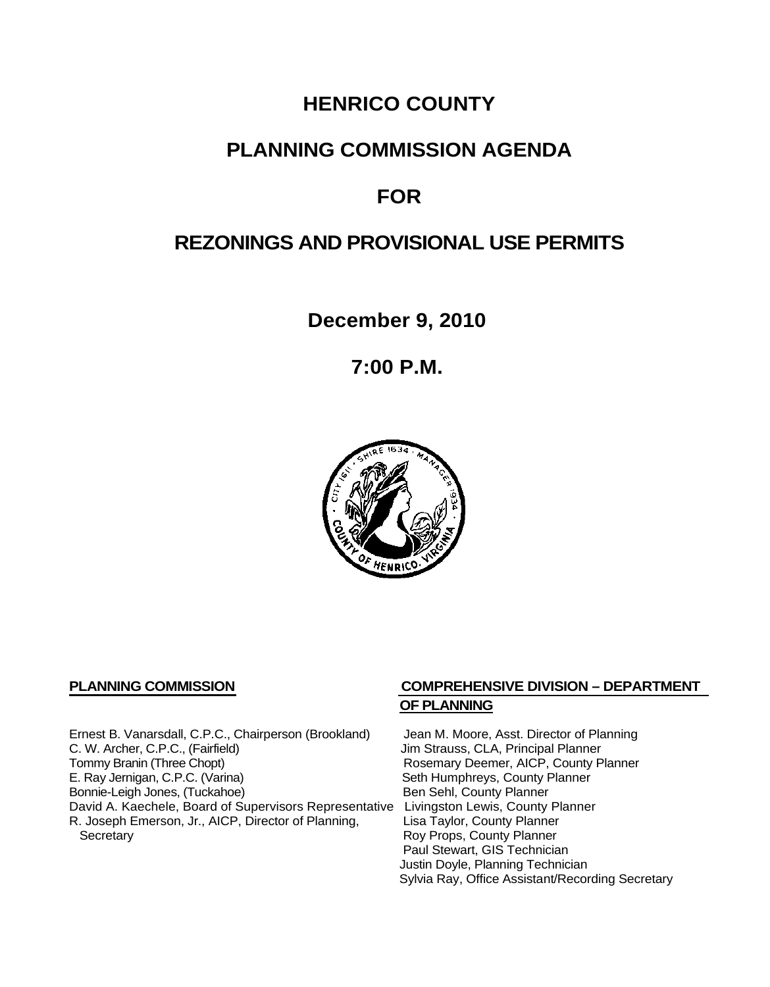# **HENRICO COUNTY**

## **PLANNING COMMISSION AGENDA**

## **FOR**

# **REZONINGS AND PROVISIONAL USE PERMITS**

**December 9, 2010**

**7:00 P.M.**



Ernest B. Vanarsdall, C.P.C., Chairperson (Brookland) Jean M. Moore, Asst. Director of Planning<br>C. W. Archer, C.P.C., (Fairfield) Jim Strauss, CLA, Principal Planner C. W. Archer, C.P.C., (Fairfield) (G. W. Archer, C.P.C., (Fairfield) (G. W. Archer, C.P.C., County P<br>
Tommy Branin (Three Chopt) (G. G. Branin W. Branin W. Rosemary Deemer, AICP, County P E. Ray Jernigan, C.P.C. (Varina) Seth Humphreys, County Planner<br>
Bonnie-Leigh Jones, (Tuckahoe) Sen Sehl, County Planner Bonnie-Leigh Jones, (Tuckahoe) David A. Kaechele, Board of Supervisors Representative Livingston Lewis, County Planner<br>R. Joseph Emerson, Jr., AICP, Director of Planning, Lisa Taylor, County Planner R. Joseph Emerson, Jr., AICP, Director of Planning, Secretary

## **PLANNING COMMISSION COMPREHENSIVE DIVISION – DEPARTMENT OF PLANNING**

Rosemary Deemer, AICP, County Planner Roy Props, County Planner Paul Stewart, GIS Technician Justin Doyle, Planning Technician Sylvia Ray, Office Assistant/Recording Secretary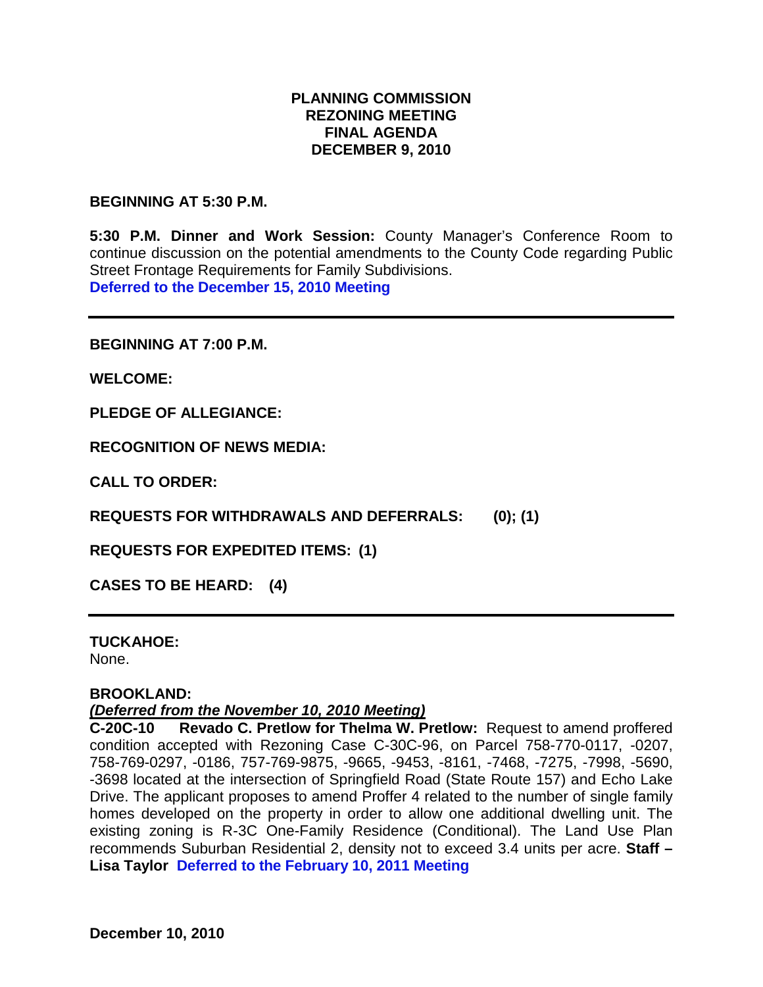### **PLANNING COMMISSION REZONING MEETING FINAL AGENDA DECEMBER 9, 2010**

#### **BEGINNING AT 5:30 P.M.**

**5:30 P.M. Dinner and Work Session:** County Manager's Conference Room to continue discussion on the potential amendments to the County Code regarding Public Street Frontage Requirements for Family Subdivisions. **Deferred to the December 15, 2010 Meeting**

**BEGINNING AT 7:00 P.M.**

**WELCOME:**

**PLEDGE OF ALLEGIANCE:**

**RECOGNITION OF NEWS MEDIA:**

**CALL TO ORDER:**

**REQUESTS FOR WITHDRAWALS AND DEFERRALS: (0); (1)**

**REQUESTS FOR EXPEDITED ITEMS: (1)**

**CASES TO BE HEARD: (4)**

**TUCKAHOE:** None.

#### **BROOKLAND:**

#### *(Deferred from the November 10, 2010 Meeting)*

**C-20C-10 Revado C. Pretlow for Thelma W. Pretlow:** Request to amend proffered condition accepted with Rezoning Case C-30C-96, on Parcel 758-770-0117, -0207, 758-769-0297, -0186, 757-769-9875, -9665, -9453, -8161, -7468, -7275, -7998, -5690, -3698 located at the intersection of Springfield Road (State Route 157) and Echo Lake Drive. The applicant proposes to amend Proffer 4 related to the number of single family homes developed on the property in order to allow one additional dwelling unit. The existing zoning is R-3C One-Family Residence (Conditional). The Land Use Plan recommends Suburban Residential 2, density not to exceed 3.4 units per acre. **Staff – Lisa Taylor Deferred to the February 10, 2011 Meeting**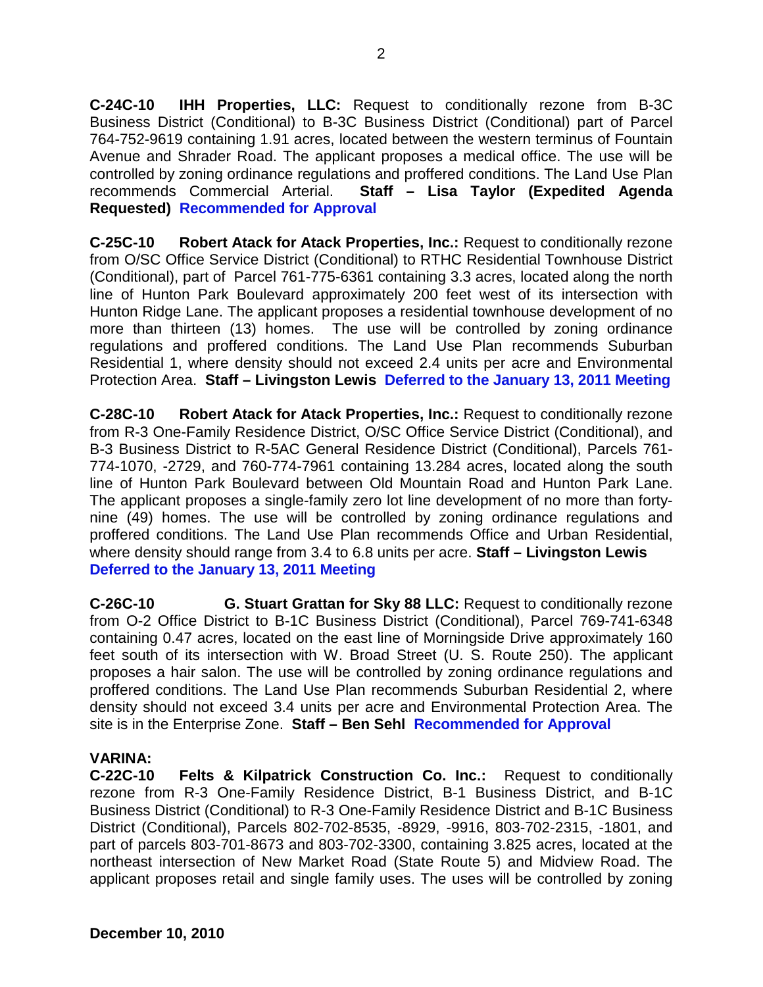**C-24C-10 IHH Properties, LLC:** Request to conditionally rezone from B-3C Business District (Conditional) to B-3C Business District (Conditional) part of Parcel 764-752-9619 containing 1.91 acres, located between the western terminus of Fountain Avenue and Shrader Road. The applicant proposes a medical office. The use will be controlled by zoning ordinance regulations and proffered conditions. The Land Use Plan recommends Commercial Arterial. **Staff – Lisa Taylor (Expedited Agenda Requested) Recommended for Approval**

**C-25C-10 Robert Atack for Atack Properties, Inc.:** Request to conditionally rezone from O/SC Office Service District (Conditional) to RTHC Residential Townhouse District (Conditional), part of Parcel 761-775-6361 containing 3.3 acres, located along the north line of Hunton Park Boulevard approximately 200 feet west of its intersection with Hunton Ridge Lane. The applicant proposes a residential townhouse development of no more than thirteen (13) homes. The use will be controlled by zoning ordinance regulations and proffered conditions. The Land Use Plan recommends Suburban Residential 1, where density should not exceed 2.4 units per acre and Environmental Protection Area. **Staff – Livingston Lewis Deferred to the January 13, 2011 Meeting**

**C-28C-10 Robert Atack for Atack Properties, Inc.:** Request to conditionally rezone from R-3 One-Family Residence District, O/SC Office Service District (Conditional), and B-3 Business District to R-5AC General Residence District (Conditional), Parcels 761- 774-1070, -2729, and 760-774-7961 containing 13.284 acres, located along the south line of Hunton Park Boulevard between Old Mountain Road and Hunton Park Lane. The applicant proposes a single-family zero lot line development of no more than fortynine (49) homes. The use will be controlled by zoning ordinance regulations and proffered conditions. The Land Use Plan recommends Office and Urban Residential, where density should range from 3.4 to 6.8 units per acre. **Staff – Livingston Lewis Deferred to the January 13, 2011 Meeting**

**C-26C-10 G. Stuart Grattan for Sky 88 LLC:** Request to conditionally rezone from O-2 Office District to B-1C Business District (Conditional), Parcel 769-741-6348 containing 0.47 acres, located on the east line of Morningside Drive approximately 160 feet south of its intersection with W. Broad Street (U. S. Route 250). The applicant proposes a hair salon. The use will be controlled by zoning ordinance regulations and proffered conditions. The Land Use Plan recommends Suburban Residential 2, where density should not exceed 3.4 units per acre and Environmental Protection Area. The site is in the Enterprise Zone. **Staff – Ben Sehl Recommended for Approval**

### **VARINA:**

**C-22C-10 Felts & Kilpatrick Construction Co. Inc.:** Request to conditionally rezone from R-3 One-Family Residence District, B-1 Business District, and B-1C Business District (Conditional) to R-3 One-Family Residence District and B-1C Business District (Conditional), Parcels 802-702-8535, -8929, -9916, 803-702-2315, -1801, and part of parcels 803-701-8673 and 803-702-3300, containing 3.825 acres, located at the northeast intersection of New Market Road (State Route 5) and Midview Road. The applicant proposes retail and single family uses. The uses will be controlled by zoning